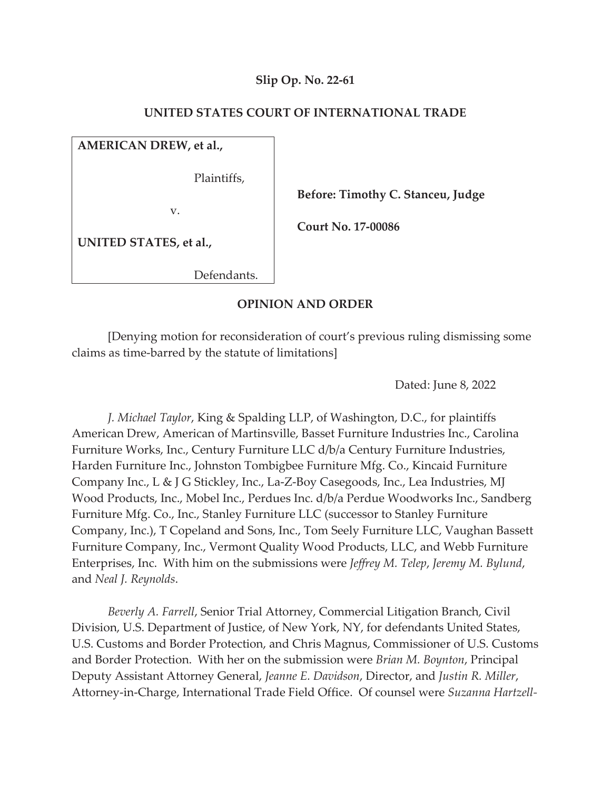# **Slip Op. No. 22-61**

# **UNITED STATES COURT OF INTERNATIONAL TRADE**

**AMERICAN DREW, et al.,** 

Plaintiffs,

v.

 **Before: Timothy C. Stanceu, Judge** 

 **Court No. 17-00086** 

**UNITED STATES, et al.,** 

Defendants.

# **OPINION AND ORDER**

[Denying motion for reconsideration of court's previous ruling dismissing some claims as time-barred by the statute of limitations]

Dated: June 8, 2022

*J. Michael Taylor*, King & Spalding LLP, of Washington, D.C., for plaintiffs American Drew, American of Martinsville, Basset Furniture Industries Inc., Carolina Furniture Works, Inc., Century Furniture LLC d/b/a Century Furniture Industries, Harden Furniture Inc., Johnston Tombigbee Furniture Mfg. Co., Kincaid Furniture Company Inc., L & J G Stickley, Inc., La-Z-Boy Casegoods, Inc., Lea Industries, MJ Wood Products, Inc., Mobel Inc., Perdues Inc. d/b/a Perdue Woodworks Inc., Sandberg Furniture Mfg. Co., Inc., Stanley Furniture LLC (successor to Stanley Furniture Company, Inc.), T Copeland and Sons, Inc., Tom Seely Furniture LLC, Vaughan Bassett Furniture Company, Inc., Vermont Quality Wood Products, LLC, and Webb Furniture Enterprises, Inc. With him on the submissions were *Jeffrey M. Telep*, *Jeremy M. Bylund*, and *Neal J. Reynolds*.

*Beverly A. Farrell*, Senior Trial Attorney, Commercial Litigation Branch, Civil Division, U.S. Department of Justice, of New York, NY, for defendants United States, U.S. Customs and Border Protection, and Chris Magnus, Commissioner of U.S. Customs and Border Protection. With her on the submission were *Brian M. Boynton*, Principal Deputy Assistant Attorney General, *Jeanne E. Davidson*, Director, and *Justin R. Miller*, Attorney-in-Charge, International Trade Field Office. Of counsel were *Suzanna Hartzell-*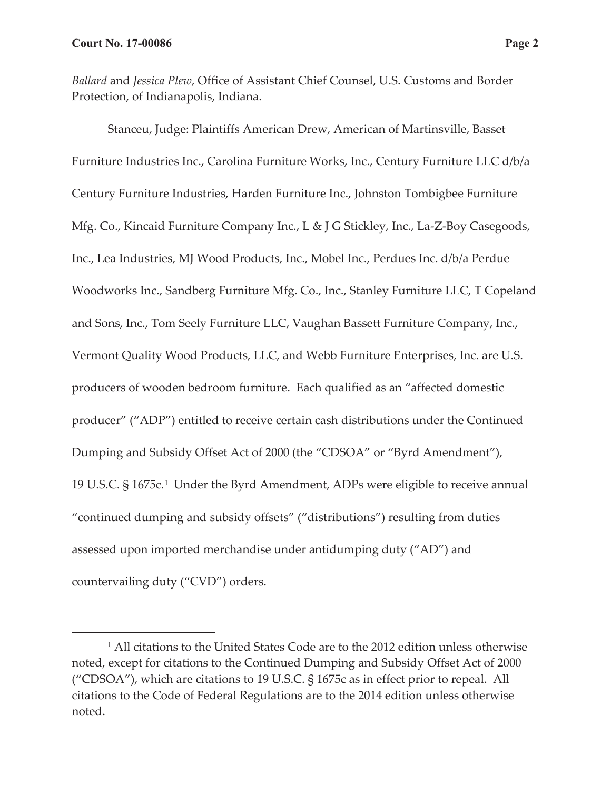*Ballard* and *Jessica Plew*, Office of Assistant Chief Counsel, U.S. Customs and Border Protection, of Indianapolis, Indiana.

Stanceu, Judge: Plaintiffs American Drew, American of Martinsville, Basset Furniture Industries Inc., Carolina Furniture Works, Inc., Century Furniture LLC d/b/a Century Furniture Industries, Harden Furniture Inc., Johnston Tombigbee Furniture Mfg. Co., Kincaid Furniture Company Inc., L & J G Stickley, Inc., La-Z-Boy Casegoods, Inc., Lea Industries, MJ Wood Products, Inc., Mobel Inc., Perdues Inc. d/b/a Perdue Woodworks Inc., Sandberg Furniture Mfg. Co., Inc., Stanley Furniture LLC, T Copeland and Sons, Inc., Tom Seely Furniture LLC, Vaughan Bassett Furniture Company, Inc., Vermont Quality Wood Products, LLC, and Webb Furniture Enterprises, Inc. are U.S. producers of wooden bedroom furniture. Each qualified as an "affected domestic producer" ("ADP") entitled to receive certain cash distributions under the Continued Dumping and Subsidy Offset Act of 2000 (the "CDSOA" or "Byrd Amendment"), 19 U.S.C. § 1675c.1 Under the Byrd Amendment, ADPs were eligible to receive annual "continued dumping and subsidy offsets" ("distributions") resulting from duties assessed upon imported merchandise under antidumping duty ("AD") and countervailing duty ("CVD") orders.

<sup>1</sup> All citations to the United States Code are to the 2012 edition unless otherwise noted, except for citations to the Continued Dumping and Subsidy Offset Act of 2000 ("CDSOA"), which are citations to 19 U.S.C. § 1675c as in effect prior to repeal. All citations to the Code of Federal Regulations are to the 2014 edition unless otherwise noted.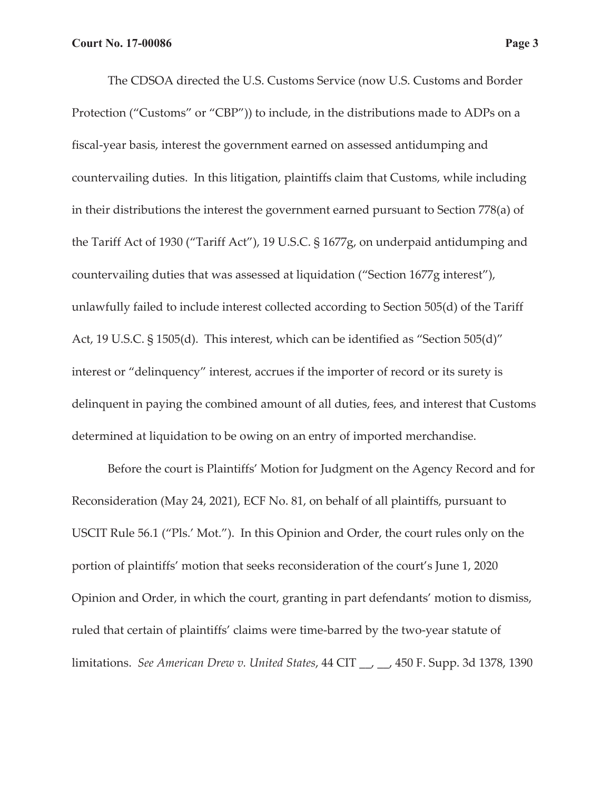The CDSOA directed the U.S. Customs Service (now U.S. Customs and Border Protection ("Customs" or "CBP")) to include, in the distributions made to ADPs on a fiscal-year basis, interest the government earned on assessed antidumping and countervailing duties. In this litigation, plaintiffs claim that Customs, while including in their distributions the interest the government earned pursuant to Section 778(a) of the Tariff Act of 1930 ("Tariff Act"), 19 U.S.C. § 1677g, on underpaid antidumping and countervailing duties that was assessed at liquidation ("Section 1677g interest"), unlawfully failed to include interest collected according to Section 505(d) of the Tariff Act, 19 U.S.C. § 1505(d). This interest, which can be identified as "Section 505(d)" interest or "delinquency" interest, accrues if the importer of record or its surety is delinquent in paying the combined amount of all duties, fees, and interest that Customs determined at liquidation to be owing on an entry of imported merchandise.

Before the court is Plaintiffs' Motion for Judgment on the Agency Record and for Reconsideration (May 24, 2021), ECF No. 81, on behalf of all plaintiffs, pursuant to USCIT Rule 56.1 ("Pls.' Mot."). In this Opinion and Order, the court rules only on the portion of plaintiffs' motion that seeks reconsideration of the court's June 1, 2020 Opinion and Order, in which the court, granting in part defendants' motion to dismiss, ruled that certain of plaintiffs' claims were time-barred by the two-year statute of limitations. *See American Drew v. United States*, 44 CIT \_\_, \_\_, 450 F. Supp. 3d 1378, 1390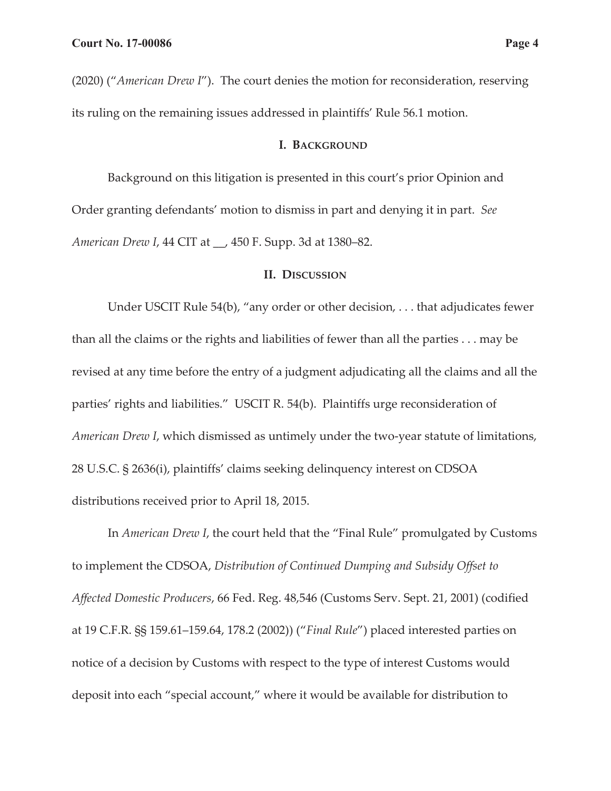(2020) ("*American Drew I*"). The court denies the motion for reconsideration, reserving its ruling on the remaining issues addressed in plaintiffs' Rule 56.1 motion.

#### **I. BACKGROUND**

Background on this litigation is presented in this court's prior Opinion and Order granting defendants' motion to dismiss in part and denying it in part. *See American Drew I*, 44 CIT at \_\_, 450 F. Supp. 3d at 1380–82.

## **II. DISCUSSION**

Under USCIT Rule 54(b), "any order or other decision, . . . that adjudicates fewer than all the claims or the rights and liabilities of fewer than all the parties . . . may be revised at any time before the entry of a judgment adjudicating all the claims and all the parties' rights and liabilities." USCIT R. 54(b). Plaintiffs urge reconsideration of *American Drew I*, which dismissed as untimely under the two-year statute of limitations, 28 U.S.C. § 2636(i), plaintiffs' claims seeking delinquency interest on CDSOA distributions received prior to April 18, 2015.

In *American Drew I*, the court held that the "Final Rule" promulgated by Customs to implement the CDSOA, *Distribution of Continued Dumping and Subsidy Offset to Affected Domestic Producers*, 66 Fed. Reg. 48,546 (Customs Serv. Sept. 21, 2001) (codified at 19 C.F.R. §§ 159.61–159.64, 178.2 (2002)) ("*Final Rule*") placed interested parties on notice of a decision by Customs with respect to the type of interest Customs would deposit into each "special account," where it would be available for distribution to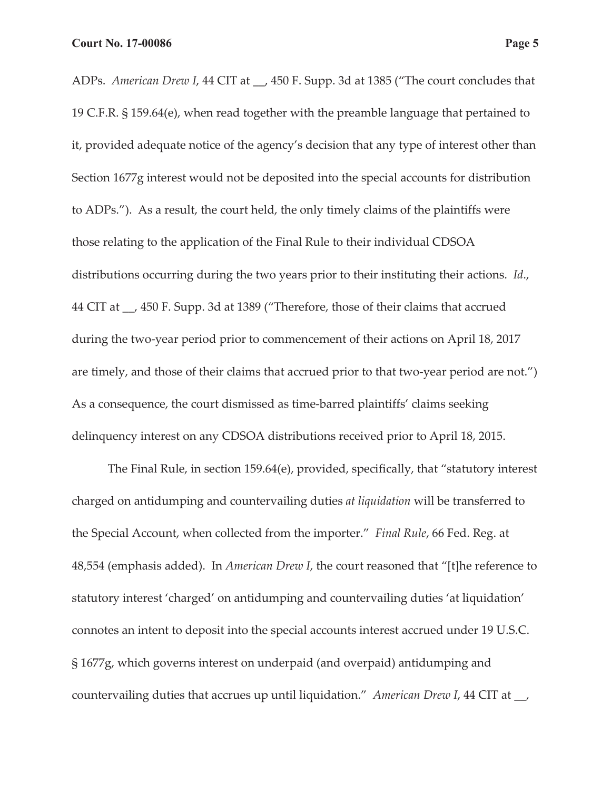ADPs. *American Drew I*, 44 CIT at \_\_, 450 F. Supp. 3d at 1385 ("The court concludes that 19 C.F.R. § 159.64(e), when read together with the preamble language that pertained to it, provided adequate notice of the agency's decision that any type of interest other than Section 1677g interest would not be deposited into the special accounts for distribution to ADPs."). As a result, the court held, the only timely claims of the plaintiffs were those relating to the application of the Final Rule to their individual CDSOA distributions occurring during the two years prior to their instituting their actions. *Id*., 44 CIT at \_\_, 450 F. Supp. 3d at 1389 ("Therefore, those of their claims that accrued during the two-year period prior to commencement of their actions on April 18, 2017 are timely, and those of their claims that accrued prior to that two-year period are not.") As a consequence, the court dismissed as time-barred plaintiffs' claims seeking delinquency interest on any CDSOA distributions received prior to April 18, 2015.

The Final Rule, in section 159.64(e), provided, specifically, that "statutory interest charged on antidumping and countervailing duties *at liquidation* will be transferred to the Special Account, when collected from the importer." *Final Rule*, 66 Fed. Reg. at 48,554 (emphasis added). In *American Drew I*, the court reasoned that "[t]he reference to statutory interest 'charged' on antidumping and countervailing duties 'at liquidation' connotes an intent to deposit into the special accounts interest accrued under 19 U.S.C. § 1677g, which governs interest on underpaid (and overpaid) antidumping and countervailing duties that accrues up until liquidation." *American Drew I*, 44 CIT at \_\_,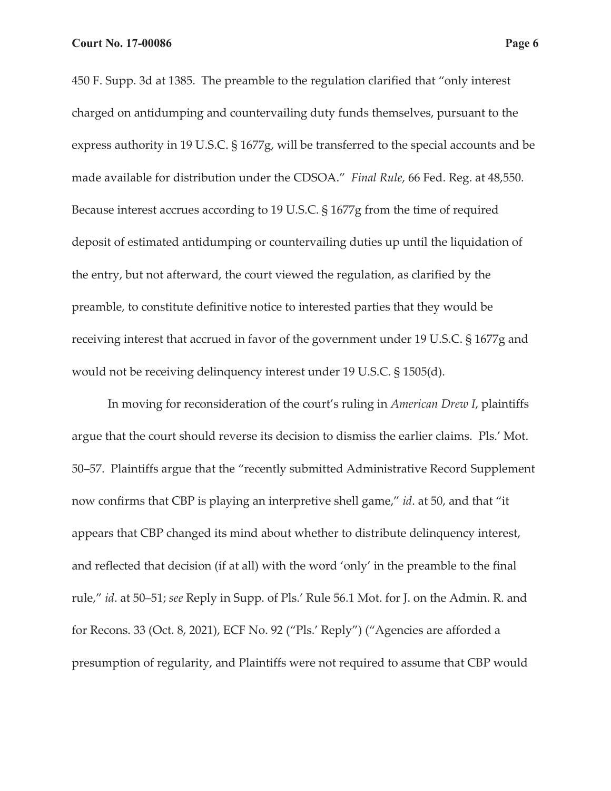450 F. Supp. 3d at 1385. The preamble to the regulation clarified that "only interest charged on antidumping and countervailing duty funds themselves, pursuant to the express authority in 19 U.S.C. § 1677g, will be transferred to the special accounts and be made available for distribution under the CDSOA." *Final Rule*, 66 Fed. Reg. at 48,550. Because interest accrues according to 19 U.S.C. § 1677g from the time of required deposit of estimated antidumping or countervailing duties up until the liquidation of the entry, but not afterward, the court viewed the regulation, as clarified by the preamble, to constitute definitive notice to interested parties that they would be receiving interest that accrued in favor of the government under 19 U.S.C. § 1677g and would not be receiving delinquency interest under 19 U.S.C. § 1505(d).

In moving for reconsideration of the court's ruling in *American Drew I*, plaintiffs argue that the court should reverse its decision to dismiss the earlier claims. Pls.' Mot. 50–57. Plaintiffs argue that the "recently submitted Administrative Record Supplement now confirms that CBP is playing an interpretive shell game," *id*. at 50, and that "it appears that CBP changed its mind about whether to distribute delinquency interest, and reflected that decision (if at all) with the word 'only' in the preamble to the final rule," *id*. at 50–51; *see* Reply in Supp. of Pls.' Rule 56.1 Mot. for J. on the Admin. R. and for Recons. 33 (Oct. 8, 2021), ECF No. 92 ("Pls.' Reply") ("Agencies are afforded a presumption of regularity, and Plaintiffs were not required to assume that CBP would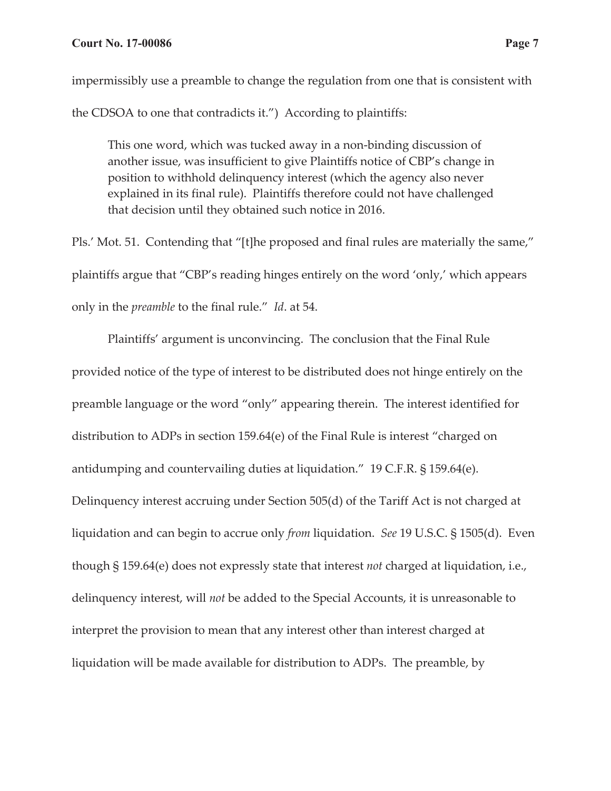## **Court No. 17-00086 Page 7**

impermissibly use a preamble to change the regulation from one that is consistent with the CDSOA to one that contradicts it.") According to plaintiffs:

This one word, which was tucked away in a non-binding discussion of another issue, was insufficient to give Plaintiffs notice of CBP's change in position to withhold delinquency interest (which the agency also never explained in its final rule). Plaintiffs therefore could not have challenged that decision until they obtained such notice in 2016.

Pls.' Mot. 51. Contending that "[t]he proposed and final rules are materially the same," plaintiffs argue that "CBP's reading hinges entirely on the word 'only,' which appears only in the *preamble* to the final rule." *Id*. at 54.

Plaintiffs' argument is unconvincing. The conclusion that the Final Rule provided notice of the type of interest to be distributed does not hinge entirely on the preamble language or the word "only" appearing therein. The interest identified for distribution to ADPs in section 159.64(e) of the Final Rule is interest "charged on antidumping and countervailing duties at liquidation." 19 C.F.R. § 159.64(e). Delinquency interest accruing under Section 505(d) of the Tariff Act is not charged at liquidation and can begin to accrue only *from* liquidation. *See* 19 U.S.C. § 1505(d). Even though § 159.64(e) does not expressly state that interest *not* charged at liquidation, i.e., delinquency interest, will *not* be added to the Special Accounts, it is unreasonable to interpret the provision to mean that any interest other than interest charged at liquidation will be made available for distribution to ADPs. The preamble, by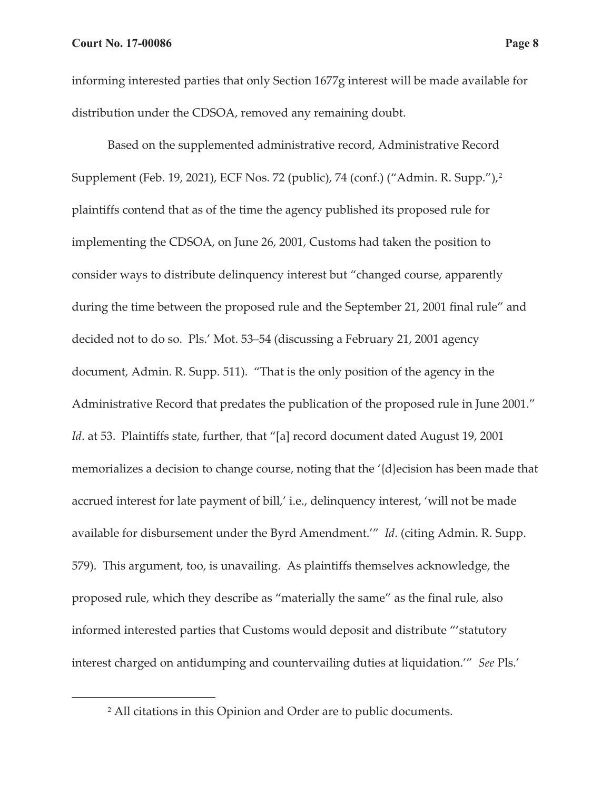informing interested parties that only Section 1677g interest will be made available for distribution under the CDSOA, removed any remaining doubt.

Based on the supplemented administrative record, Administrative Record Supplement (Feb. 19, 2021), ECF Nos. 72 (public), 74 (conf.) ("Admin. R. Supp."),2 plaintiffs contend that as of the time the agency published its proposed rule for implementing the CDSOA, on June 26, 2001, Customs had taken the position to consider ways to distribute delinquency interest but "changed course, apparently during the time between the proposed rule and the September 21, 2001 final rule" and decided not to do so. Pls.' Mot. 53–54 (discussing a February 21, 2001 agency document, Admin. R. Supp. 511). "That is the only position of the agency in the Administrative Record that predates the publication of the proposed rule in June 2001." *Id.* at 53. Plaintiffs state, further, that "[a] record document dated August 19, 2001 memorializes a decision to change course, noting that the '{d}ecision has been made that accrued interest for late payment of bill,' i.e., delinquency interest, 'will not be made available for disbursement under the Byrd Amendment.'" *Id*. (citing Admin. R. Supp. 579). This argument, too, is unavailing. As plaintiffs themselves acknowledge, the proposed rule, which they describe as "materially the same" as the final rule, also informed interested parties that Customs would deposit and distribute "'statutory interest charged on antidumping and countervailing duties at liquidation.'" *See* Pls.'

<sup>2</sup> All citations in this Opinion and Order are to public documents.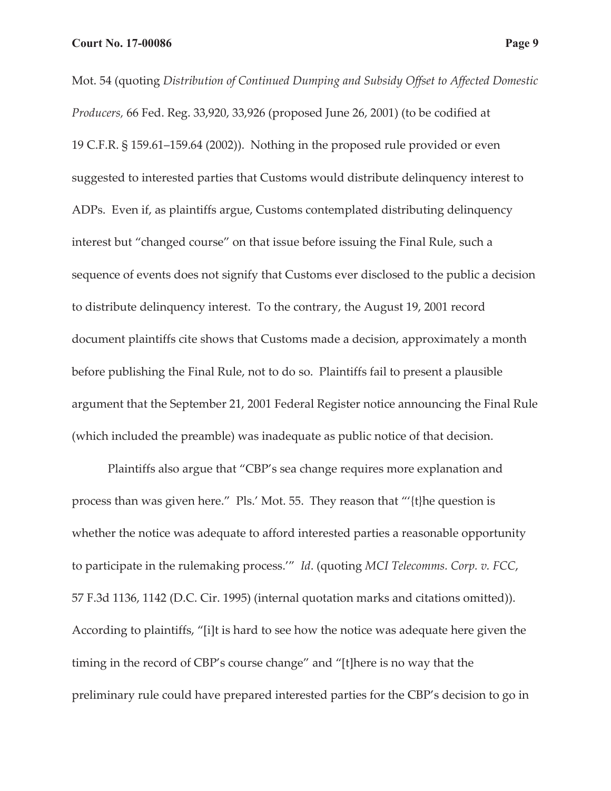Mot. 54 (quoting *Distribution of Continued Dumping and Subsidy Offset to Affected Domestic Producers,* 66 Fed. Reg. 33,920, 33,926 (proposed June 26, 2001) (to be codified at 19 C.F.R. § 159.61–159.64 (2002)). Nothing in the proposed rule provided or even suggested to interested parties that Customs would distribute delinquency interest to ADPs. Even if, as plaintiffs argue, Customs contemplated distributing delinquency interest but "changed course" on that issue before issuing the Final Rule, such a sequence of events does not signify that Customs ever disclosed to the public a decision to distribute delinquency interest. To the contrary, the August 19, 2001 record document plaintiffs cite shows that Customs made a decision, approximately a month before publishing the Final Rule, not to do so. Plaintiffs fail to present a plausible argument that the September 21, 2001 Federal Register notice announcing the Final Rule (which included the preamble) was inadequate as public notice of that decision.

Plaintiffs also argue that "CBP's sea change requires more explanation and process than was given here." Pls.' Mot. 55. They reason that "'{t}he question is whether the notice was adequate to afford interested parties a reasonable opportunity to participate in the rulemaking process.'" *Id*. (quoting *MCI Telecomms. Corp. v. FCC*, 57 F.3d 1136, 1142 (D.C. Cir. 1995) (internal quotation marks and citations omitted)). According to plaintiffs, "[i]t is hard to see how the notice was adequate here given the timing in the record of CBP's course change" and "[t]here is no way that the preliminary rule could have prepared interested parties for the CBP's decision to go in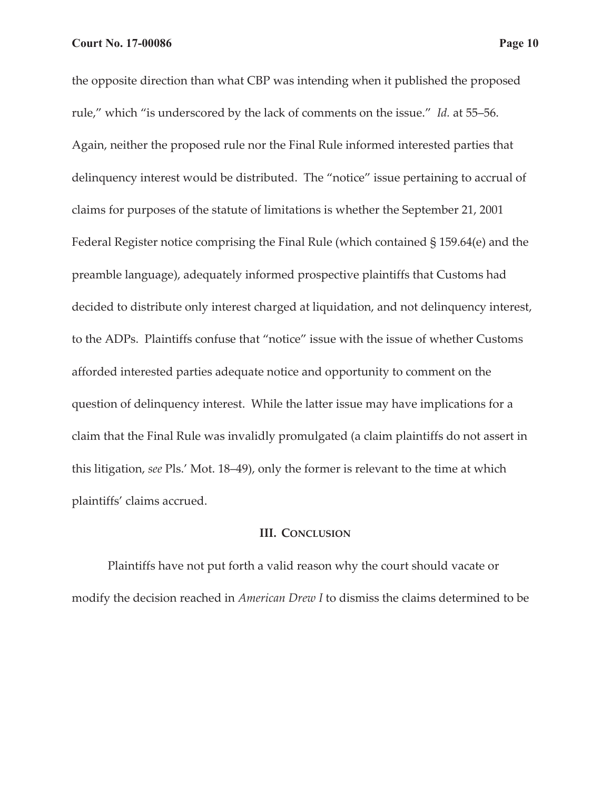the opposite direction than what CBP was intending when it published the proposed rule," which "is underscored by the lack of comments on the issue." *Id.* at 55–56. Again, neither the proposed rule nor the Final Rule informed interested parties that delinquency interest would be distributed. The "notice" issue pertaining to accrual of claims for purposes of the statute of limitations is whether the September 21, 2001 Federal Register notice comprising the Final Rule (which contained § 159.64(e) and the preamble language), adequately informed prospective plaintiffs that Customs had decided to distribute only interest charged at liquidation, and not delinquency interest, to the ADPs. Plaintiffs confuse that "notice" issue with the issue of whether Customs afforded interested parties adequate notice and opportunity to comment on the question of delinquency interest. While the latter issue may have implications for a claim that the Final Rule was invalidly promulgated (a claim plaintiffs do not assert in this litigation, *see* Pls.' Mot. 18–49), only the former is relevant to the time at which plaintiffs' claims accrued.

# **III. CONCLUSION**

Plaintiffs have not put forth a valid reason why the court should vacate or modify the decision reached in *American Drew I* to dismiss the claims determined to be